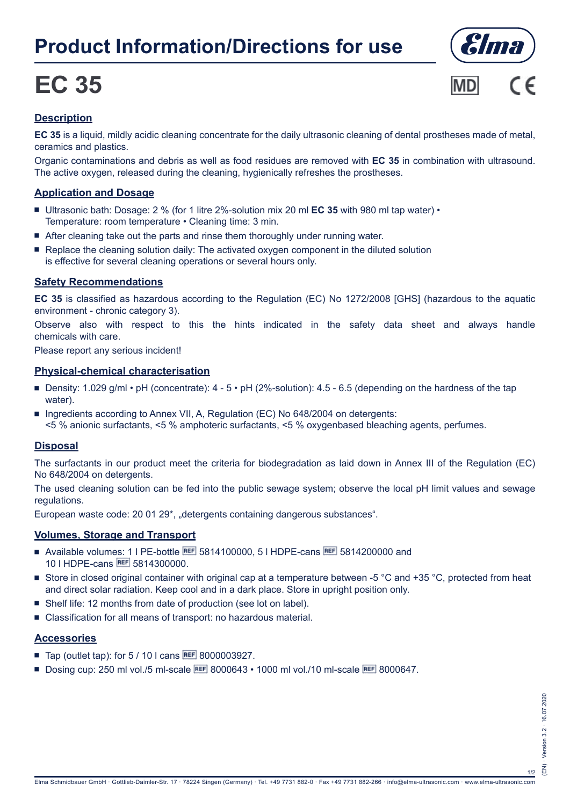## **Product Information/Directions for use**

# **EC 35**





### **Description**

**EC 35** is a liquid, mildly acidic cleaning concentrate for the daily ultrasonic cleaning of dental prostheses made of metal, ceramics and plastics.

Organic contaminations and debris as well as food residues are removed with **EC 35** in combination with ultrasound. The active oxygen, released during the cleaning, hygienically refreshes the prostheses.

#### **Application and Dosage**

- Ultrasonic bath: Dosage: 2 % (for 1 litre 2%-solution mix 20 ml **EC 35** with 980 ml tap water) Temperature: room temperature • Cleaning time: 3 min.
- After cleaning take out the parts and rinse them thoroughly under running water.
- Replace the cleaning solution daily: The activated oxygen component in the diluted solution is effective for several cleaning operations or several hours only.

#### **Safety Recommendations**

**EC 35** is classified as hazardous according to the Regulation (EC) No 1272/2008 [GHS] (hazardous to the aquatic environment - chronic category 3).

Observe also with respect to this the hints indicated in the safety data sheet and always handle chemicals with care.

Please report any serious incident!

#### **Physical-chemical characterisation**

- Density: 1.029 g/ml pH (concentrate):  $4 5$  pH (2%-solution): 4.5 6.5 (depending on the hardness of the tap water).
- Ingredients according to Annex VII, A, Regulation (EC) No 648/2004 on detergents: <5 % anionic surfactants, <5 % amphoteric surfactants, <5 % oxygenbased bleaching agents, perfumes.

#### **Disposal**

The surfactants in our product meet the criteria for biodegradation as laid down in Annex III of the Regulation (EC) No 648/2004 on detergents.

The used cleaning solution can be fed into the public sewage system; observe the local pH limit values and sewage regulations.

European waste code: 20 01 29\*, "detergents containing dangerous substances".

#### **Volumes, Storage and Transport**

- Available volumes: 1 | PE-bottle REF 5814100000, 5 | HDPE-cans REF 5814200000 and 10 | HDPE-cans REF 5814300000.
- Store in closed original container with original cap at a temperature between -5 °C and +35 °C, protected from heat and direct solar radiation. Keep cool and in a dark place. Store in upright position only.
- Shelf life: 12 months from date of production (see lot on label).
- Classification for all means of transport: no hazardous material.

#### **Accessories**

- Tap (outlet tap): for  $5/10$  I cans REF 8000003927.
- Dosing cup: 250 ml vol./5 ml-scale **BEF** 8000643 1000 ml vol./10 ml-scale **BEF** 8000647.

1/2